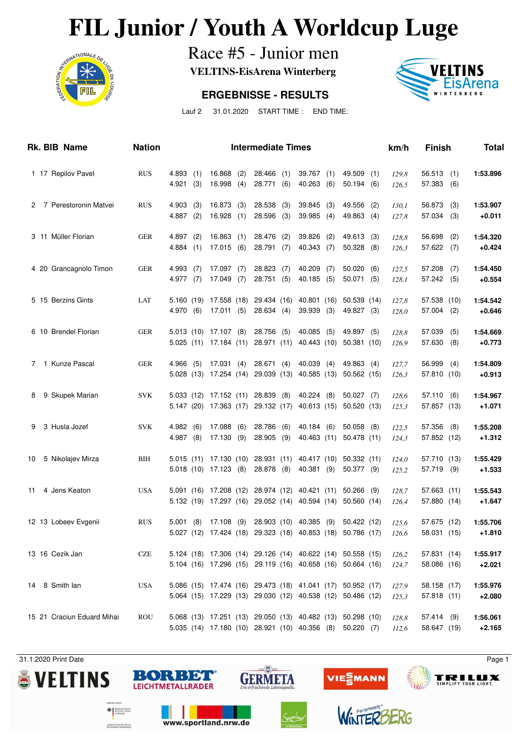# **FIL Junior / Youth A Worldcup Luge**<br>Race #5 - Junior men<br>VELTINS-EisArena Winterberg



Race #5 - Junior men

**VELTINS-EisArena Winterberg**

#### **ERGEBNISSE - RESULTS**



Lauf 2 31.01.2020 START TIME : END TIME:

|    | Rk. BIB Name               | <b>Nation</b> |                         |            |                                     |            | <b>Intermediate Times</b>                                               |     |                                                                                                                          |            |                             |            | km/h           | <b>Finish</b>               |            | <b>Total</b>         |
|----|----------------------------|---------------|-------------------------|------------|-------------------------------------|------------|-------------------------------------------------------------------------|-----|--------------------------------------------------------------------------------------------------------------------------|------------|-----------------------------|------------|----------------|-----------------------------|------------|----------------------|
|    | 1 17 Repilov Pavel         | <b>RUS</b>    | 4.893<br>4.921          | (1)<br>(3) | 16.868<br>16.998                    | (2)<br>(4) | $28.466$ (1)<br>28.771 (6)                                              |     | 39.767<br>40.263                                                                                                         | (1)<br>(6) | 49.509<br>50.194            | (1)<br>(6) | 129,8<br>126,5 | 56.513<br>57.383            | (1)<br>(6) | 1:53.896             |
|    | 2 7 Perestoronin Matvei    | <b>RUS</b>    | 4.903<br>$4.887$ (2)    | (3)        | 16.873<br>16.928                    | (3)<br>(1) | 28.538<br>28.596 (3)                                                    | (3) | 39.845<br>39.985                                                                                                         | (3)<br>(4) | 49.556<br>49.863 (4)        | (2)        | 130,1<br>127,8 | 56.873<br>57.034            | (3)<br>(3) | 1:53.907<br>$+0.011$ |
|    | 3 11 Müller Florian        | <b>GER</b>    | $4.897$ (2)<br>4.884(1) |            | 16.863<br>17.015(6)                 | (1)        | 28.476 (2)<br>28.791 (7)                                                |     | 39.826<br>40.343                                                                                                         | (2)<br>(7) | 49.613<br>50.328            | (3)<br>(8) | 128,8<br>126,3 | 56.698<br>57.622 (7)        | (2)        | 1:54.320<br>$+0.424$ |
|    | 4 20 Grancagnolo Timon     | <b>GER</b>    | 4.993<br>4.977 (7)      | (7)        | 17.097(7)<br>17.049                 | (7)        | 28.823 (7)<br>28.751 (5)                                                |     | 40.209<br>40.185                                                                                                         | (7)<br>(5) | 50.020<br>50.071(5)         | (6)        | 127,5<br>128,1 | 57.208<br>57.242(5)         | (7)        | 1:54.450<br>$+0.554$ |
|    | 5 15 Berzins Gints         | LAT           | 4.970 (6)               |            | 5.160 (19) 17.558 (18)<br>17.011(5) |            | 29.434 (16)<br>28.634 (4)                                               |     | 40.801 (16)<br>39.939                                                                                                    | (3)        | 50.539 (14)<br>49.827 (3)   |            | 127,8<br>128,0 | 57.538 (10)<br>$57.004$ (2) |            | 1:54.542<br>$+0.646$ |
|    | 6 10 Brendel Florian       | <b>GER</b>    |                         |            | $5.013$ (10) 17.107 (8)             |            | 28.756 (5)<br>5.025 (11) 17.184 (11) 28.971 (11)                        |     | 40.085<br>40.443 (10)                                                                                                    | (5)        | 49.897 (5)<br>50.381(10)    |            | 128,8<br>126,9 | 57.039<br>57.630            | (5)<br>(8) | 1:54.669<br>$+0.773$ |
| 7  | 1 Kunze Pascal             | <b>GER</b>    | 4.966                   | (5)        | 17.031(4)                           |            | 28.671(4)<br>5.028 (13) 17.254 (14) 29.039 (13)                         |     | 40.039<br>40.585 (13)                                                                                                    | (4)        | 49.863 (4)<br>50.562 (15)   |            | 127,7<br>126,3 | 56.999<br>57.810 (10)       | (4)        | 1:54.809<br>$+0.913$ |
| 8  | 9 Skupek Marian            | <b>SVK</b>    |                         |            |                                     |            | 5.033 (12) 17.152 (11) 28.839 (8)<br>5.147 (20) 17.363 (17) 29.132 (17) |     | 40.224 (8)<br>40.613 (15)                                                                                                |            | $50.027$ (7)<br>50.520 (13) |            | 128,6<br>125,3 | 57.110<br>57.857 (13)       | (6)        | 1:54.967<br>$+1.071$ |
| 9  | 3 Husla Jozef              | <b>SVK</b>    | 4.982(6)<br>$4.987$ (8) |            | 17.088<br>17.130 (9)                | (6)        | 28.786 (6)<br>28.905 (9)                                                |     | 40.184 (6)<br>40.463 (11)                                                                                                |            | $50.058$ (8)<br>50.478 (11) |            | 122,5<br>124,3 | 57.356<br>57.852 (12)       | (8)        | 1:55.208<br>$+1.312$ |
| 10 | 5 Nikolajev Mirza          | <b>BIH</b>    |                         |            | 5.018 (10) 17.123 (8)               |            | 5.015 (11) 17.130 (10) 28.931 (11)<br>28.878 (8)                        |     | 40.417 (10)<br>40.381 (9)                                                                                                |            | 50.332(11)<br>50.377 (9)    |            | 124,0<br>125,2 | 57.710 (13)<br>57.719 (9)   |            | 1:55.429<br>$+1.533$ |
| 11 | 4 Jens Keaton              | <b>USA</b>    |                         |            |                                     |            |                                                                         |     | 5.091 (16) 17.208 (12) 28.974 (12) 40.421 (11)<br>5.132 (19) 17.297 (16) 29.052 (14) 40.594 (14) 50.560 (14)             |            | $50.266$ (9)                |            | 128,7<br>126,4 | 57.663 (11)<br>57.880 (14)  |            | 1:55.543<br>$+1.647$ |
|    | 12 13 Lobeev Evgenii       | <b>RUS</b>    |                         |            | $5.001$ (8) $17.108$ (9)            |            |                                                                         |     | 28.903 (10) 40.385 (9)<br>5.027 (12) 17.424 (18) 29.323 (18) 40.853 (18) 50.786 (17)                                     |            | 50.422 (12)                 |            | 125,6<br>126,6 | 57.675 (12)<br>58.031 (15)  |            | 1:55.706<br>$+1.810$ |
|    | 13 16 Cezik Jan            | <b>CZE</b>    |                         |            |                                     |            |                                                                         |     | 5.124 (18) 17.306 (14) 29.126 (14) 40.622 (14) 50.558 (15)<br>5.104 (16) 17.296 (15) 29.119 (16) 40.658 (16) 50.664 (16) |            |                             |            | 126,2<br>124,7 | 57.831 (14)<br>58.086 (16)  |            | 1:55.917<br>$+2.021$ |
|    | 14 8 Smith lan             | <b>USA</b>    |                         |            |                                     |            |                                                                         |     | 5.086 (15) 17.474 (16) 29.473 (18) 41.041 (17) 50.952 (17)<br>5.064 (15) 17.229 (13) 29.030 (12) 40.538 (12) 50.486 (12) |            |                             |            | 127,9<br>125,3 | 58.158 (17)<br>57.818 (11)  |            | 1:55.976<br>$+2.080$ |
|    | 15 21 Craciun Eduard Mihai | ROU           |                         |            |                                     |            |                                                                         |     | 5.068 (13) 17.251 (13) 29.050 (13) 40.482 (13) 50.298 (10)<br>5.035 (14) 17.180 (10) 28.921 (10) 40.356 (8)              |            | 50.220(7)                   |            | 128,8<br>112,6 | 57.414 (9)<br>58.647 (19)   |            | 1:56.061<br>$+2.165$ |









WiNTER







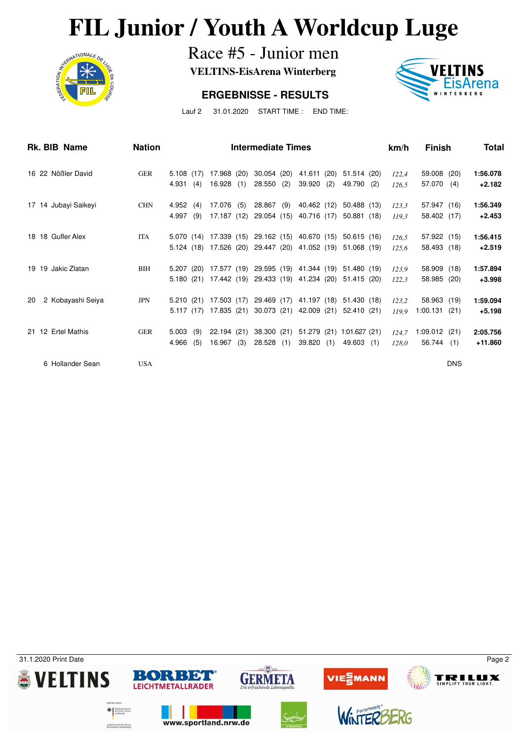# **FIL Junior / Youth A Worldcup Luge**<br>Race #5 - Junior men<br>VELTINS-EisArena Winterberg



Race #5 - Junior men

**VELTINS-EisArena Winterberg**

#### **ERGEBNISSE - RESULTS**



Lauf 2 31.01.2020 START TIME : END TIME:

| Rk. BIB Name            | <b>Nation</b> |           |     |                        |     | <b>Intermediate Times</b> |     |                                                |     |                                                            |     | km/h  | <b>Finish</b> |            | Total    |
|-------------------------|---------------|-----------|-----|------------------------|-----|---------------------------|-----|------------------------------------------------|-----|------------------------------------------------------------|-----|-------|---------------|------------|----------|
| 16 22 Nößler David      | <b>GER</b>    | 5.108(17) |     | 17.968 (20)            |     | 30.054 (20)               |     | 41.611 (20)                                    |     | 51.514 (20)                                                |     | 122,4 | 59.008 (20)   |            | 1:56.078 |
|                         |               | 4.931     | (4) | 16.928                 | (1) | $28.550$ (2)              |     | 39.920                                         | (2) | 49.790 (2)                                                 |     | 126.5 | 57.070        | (4)        | $+2.182$ |
| 17 14 Jubayi Saikeyi    | <b>CHN</b>    | 4.952     | (4) | 17.076 (5)             |     | 28.867 (9)                |     | 40.462 (12)                                    |     | 50.488 (13)                                                |     | 123.3 | 57.947 (16)   |            | 1:56.349 |
|                         |               | 4.997     | (9) | 17.187 (12)            |     | 29.054 (15)               |     | 40.716 (17)                                    |     | 50.881 (18)                                                |     | 119.3 | 58.402 (17)   |            | $+2.453$ |
| 18 18 Gufler Alex       | <b>ITA</b>    |           |     | 5.070 (14) 17.339 (15) |     |                           |     | 29.162 (15) 40.670 (15)                        |     | 50.615(16)                                                 |     | 126.5 | 57.922 (15)   |            | 1:56.415 |
|                         |               |           |     |                        |     |                           |     | 5.124 (18) 17.526 (20) 29.447 (20) 41.052 (19) |     | 51.068 (19)                                                |     | 125.6 | 58.493 (18)   |            | $+2.519$ |
| 19 19 Jakic Zlatan      | BIH           | 5.207(20) |     |                        |     |                           |     | 17.577 (19) 29.595 (19) 41.344 (19)            |     | 51.480 (19)                                                |     | 123.9 | 58.909 (18)   |            | 1:57.894 |
|                         |               |           |     |                        |     |                           |     |                                                |     | 5.180 (21) 17.442 (19) 29.433 (19) 41.234 (20) 51.415 (20) |     | 122.3 | 58.985 (20)   |            | $+3.998$ |
| 2 Kobayashi Seiya<br>20 | <b>JPN</b>    |           |     | 5.210 (21) 17.503 (17) |     |                           |     | 29.469 (17) 41.197 (18)                        |     | 51.430 (18)                                                |     | 123,2 | 58.963 (19)   |            | 1:59.094 |
|                         |               |           |     | 5.117 (17) 17.835 (21) |     | 30.073 (21)               |     | 42.009 (21)                                    |     | 52.410(21)                                                 |     | 119.9 | 1:00.131      | (21)       | $+5.198$ |
| 21 12 Ertel Mathis      | <b>GER</b>    | 5.003     | (9) | 22.194 (21)            |     | 38.300 (21)               |     | 51.279 (21)                                    |     | 1:01.627(21)                                               |     | 124.7 | 1:09.012(21)  |            | 2:05.756 |
|                         |               | 4.966     | (5) | 16.967                 | (3) | 28.528                    | (1) | 39.820                                         | (1) | 49.603                                                     | (1) | 128.0 | 56.744        | (1)        | +11.860  |
| 6 Hollander Sean        | <b>USA</b>    |           |     |                        |     |                           |     |                                                |     |                                                            |     |       |               | <b>DNS</b> |          |

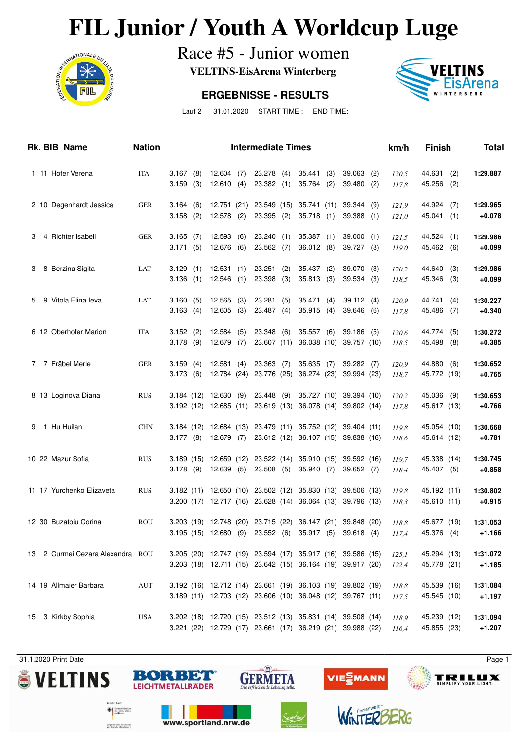# **FIL Junior / Youth A Worldcup Luge**<br>Race #5 - Junior women



Race #5 - Junior women

**VELTINS-EisArena Winterberg**

#### **ERGEBNISSE - RESULTS**



Lauf 2 31.01.2020 START TIME : END TIME:

|             | Rk. BIB Name                     | <b>Nation</b> |                                                                                                                          |                              |            | <b>Intermediate Times</b>   |            |                           |            |                                                    |            | km/h                    | <b>Finish</b>              |            | <b>Total</b>                     |
|-------------|----------------------------------|---------------|--------------------------------------------------------------------------------------------------------------------------|------------------------------|------------|-----------------------------|------------|---------------------------|------------|----------------------------------------------------|------------|-------------------------|----------------------------|------------|----------------------------------|
|             | 1 11 Hofer Verena                | <b>ITA</b>    | 3.167<br>(8)<br>3.159<br>(3)                                                                                             | $12.604$ (7)<br>12.610       | (4)        | 23.278 (4)<br>23.382        | (1)        | 35.441<br>35.764          | (3)<br>(2) | 39.063<br>39.480                                   | (2)<br>(2) | 120,5<br>117,8          | 44.631<br>45.256           | (2)<br>(2) | 1:29.887                         |
|             | 2 10 Degenhardt Jessica          | <b>GER</b>    | 3.164<br>(6)<br>3.158<br>(2)                                                                                             | 12.751 (21)<br>12.578        | (2)        | 23.549 (15)<br>23.395 (2)   |            | 35.741 (11)<br>35.718     | (1)        | 39.344<br>$39.388$ (1)                             | (9)        | 121,9<br>121,0          | 44.924<br>45.041           | (7)<br>(1) | 1:29.965<br>$+0.078$             |
| 3           | 4 Richter Isabell                | <b>GER</b>    | 3.165<br>(7)<br>3.171<br>(5)                                                                                             | 12.593<br>12.676             | (6)<br>(6) | 23.240<br>23.562            | (1)<br>(7) | 35.387<br>36.012          | (1)<br>(8) | 39.000<br>39.727 (8)                               | (1)        | 121,5<br>119,0          | 44.524<br>45.462           | (1)<br>(6) | 1:29.986<br>$+0.099$             |
| 3           | 8 Berzina Sigita                 | LAT           | 3.129<br>(1)<br>3.136<br>(1)                                                                                             | 12.531<br>12.546             | (1)<br>(1) | 23.251<br>23.398            | (2)<br>(3) | 35.437<br>35.813          | (2)<br>(3) | 39.070<br>39.534 (3)                               | (3)        | 120,2<br>118,5          | 44.640<br>45.346           | (3)<br>(3) | 1:29.986<br>$+0.099$             |
| 5           | 9 Vitola Elina leva              | LAT           | 3.160<br>(5)<br>3.163<br>(4)                                                                                             | 12.565<br>12.605             | (3)<br>(3) | 23.281<br>23.487(4)         | (5)        | 35.471<br>35.915          | (4)<br>(4) | 39.112(4)<br>39.646 (6)                            |            | 120,9<br>117,8          | 44.741<br>45.486           | (4)<br>(7) | 1:30.227<br>$+0.340$             |
|             | 6 12 Oberhofer Marion            | <b>ITA</b>    | 3.152<br>(2)<br>3.178<br>(9)                                                                                             | 12.584<br>12.679             | (5)<br>(7) | 23.348 (6)<br>23.607 (11)   |            | 35.557<br>36.038 (10)     | (6)        | 39.186 (5)<br>39.757 (10)                          |            | 120,6<br>118,5          | 44.774<br>45.498           | (5)<br>(8) | 1:30.272<br>$+0.385$             |
| $7^{\circ}$ | 7 Fräbel Merle                   | <b>GER</b>    | 3.159<br>(4)<br>3.173<br>(6)                                                                                             | 12.581<br>12.784 (24)        | (4)        | $23.363$ (7)<br>23.776 (25) |            | 35.635<br>36.274 (23)     | (7)        | 39.282 (7)<br>39.994 (23)                          |            | 120,9<br>118,7          | 44.880<br>45.772 (19)      | (6)        | 1:30.652<br>$+0.765$             |
|             | 8 13 Loginova Diana              | <b>RUS</b>    | 3.184 (12) 12.630<br>3.192 (12) 12.685 (11)                                                                              |                              | (9)        | 23.448 (9)<br>23.619 (13)   |            |                           |            | 35.727 (10) 39.394 (10)<br>36.078 (14) 39.802 (14) |            | 120,2<br>117,8          | 45.036<br>45.617 (13)      | (9)        | 1:30.653<br>$+0.766$             |
| 9           | 1 Hu Huilan                      | <b>CHN</b>    | 3.184 (12) 12.684 (13)<br>3.177(8)                                                                                       | 12.679 (7)                   |            | 23.479 (11)<br>23.612 (12)  |            | 35.752 (12)               |            | 39.404 (11)<br>36.107 (15) 39.838 (16)             |            | 119,8<br>118,6          | 45.054 (10)<br>45.614 (12) |            | 1:30.668<br>$+0.781$             |
|             | 10 22 Mazur Sofia                | <b>RUS</b>    | 3.189<br>3.178<br>(9)                                                                                                    | $(15)$ 12.659 (12)<br>12.639 | (5)        | 23.522 (14)<br>$23.508$ (5) |            | 35.910 (15)<br>35.940 (7) |            | 39.592 (16)<br>39.652 (7)                          |            | 119,7<br>118,4          | 45.338 (14)<br>45.407 (5)  |            | 1:30.745<br>$+0.858$             |
|             | 11 17 Yurchenko Elizaveta        | <b>RUS</b>    | 3.182 (11) 12.650 (10) 23.502 (12)<br>3.200 (17) 12.717 (16) 23.628 (14)                                                 |                              |            |                             |            | 35.830 (13)               |            | 39.506 (13)<br>36.064 (13) 39.796 (13)             |            | 119,8<br>118,3          | 45.192 (11)<br>45.610 (11) |            | 1:30.802<br>$+0.915$             |
|             | 12 30 Buzatoiu Corina            | <b>ROU</b>    | 3.203 (19) 12.748 (20) 23.715 (22) 36.147 (21) 39.848 (20)<br>3.195 (15) 12.680 (9) 23.552 (6) 35.917 (5) 39.618 (4)     |                              |            |                             |            |                           |            |                                                    |            | 118.8<br>117,4          | 45.677 (19)<br>45.376 (4)  |            | 1:31.053<br>$+1.166$             |
|             | 13 2 Curmei Cezara Alexandra ROU |               | 3.205 (20) 12.747 (19) 23.594 (17) 35.917 (16) 39.586 (15)<br>3.203 (18) 12.711 (15) 23.642 (15) 36.164 (19) 39.917 (20) |                              |            |                             |            |                           |            |                                                    |            | 125,1<br>122,4          | 45.294 (13)<br>45.778 (21) |            | 1:31.072<br>$+1.185$             |
|             | 14 19 Allmaier Barbara           | <b>AUT</b>    | 3.192 (16) 12.712 (14) 23.661 (19) 36.103 (19) 39.802 (19)<br>3.189 (11) 12.703 (12) 23.606 (10) 36.048 (12) 39.767 (11) |                              |            |                             |            |                           |            |                                                    |            | 118,8                   | 45.539 (16)<br>45.545 (10) |            | 1:31.084                         |
|             | 15 3 Kirkby Sophia               | <b>USA</b>    | 3.202 (18) 12.720 (15) 23.512 (13) 35.831 (14) 39.508 (14)<br>3.221 (22) 12.729 (17) 23.661 (17) 36.219 (21) 39.988 (22) |                              |            |                             |            |                           |            |                                                    |            | 117,5<br>118,9<br>116,4 | 45.239 (12)<br>45.855 (23) |            | $+1.197$<br>1:31.094<br>$+1.207$ |











www.sportland.nrw.de

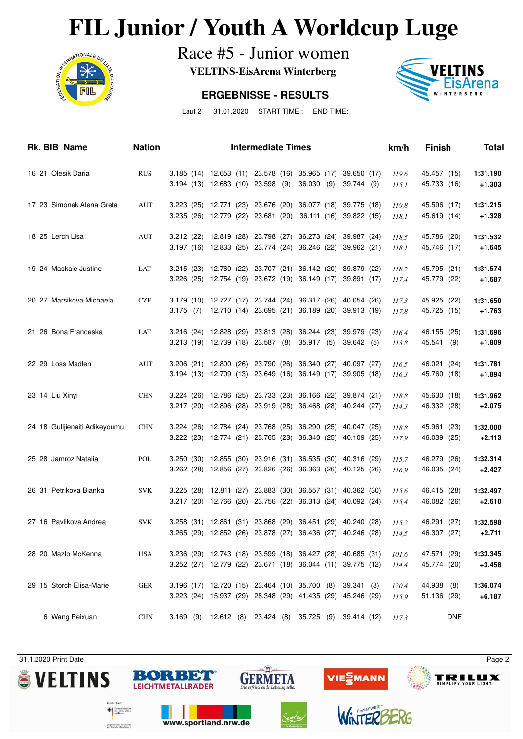# **FIL Junior / Youth A Worldcup Luge**<br>Race #5 - Junior women



Race #5 - Junior women

**VELTINS-EisArena Winterberg**

#### **ERGEBNISSE - RESULTS**



Lauf 2 31.01.2020 START TIME : END TIME:

| Rk. BIB Name                  | <b>Nation</b> |                                   | <b>Intermediate Times</b>                      |                                                                                                                                | km/h           | <b>Finish</b>              | <b>Total</b>         |
|-------------------------------|---------------|-----------------------------------|------------------------------------------------|--------------------------------------------------------------------------------------------------------------------------------|----------------|----------------------------|----------------------|
| 16 21 Olesik Daria            | <b>RUS</b>    | 3.194 (13) 12.683 (10) 23.598 (9) |                                                | 3.185 (14) 12.653 (11) 23.578 (16) 35.965 (17)<br>39.650 (17)<br>36.030 (9)<br>39.744 (9)                                      | 119,6<br>115.1 | 45.457 (15)<br>45.733 (16) | 1:31.190<br>$+1.303$ |
| 17 23 Simonek Alena Greta     | <b>AUT</b>    |                                   | 3.235 (26) 12.779 (22) 23.681 (20)             | 3.223 (25) 12.771 (23) 23.676 (20) 36.077 (18)<br>39.775 (18)<br>36.111 (16) 39.822 (15)                                       | 119,8<br>118,1 | 45.596 (17)<br>45.619 (14) | 1:31.215<br>$+1.328$ |
| 18 25 Lerch Lisa              | <b>AUT</b>    |                                   |                                                | 3.212 (22) 12.819 (28) 23.798 (27) 36.273 (24)<br>39.987 (24)<br>3.197 (16) 12.833 (25) 23.774 (24) 36.246 (22)<br>39.962 (21) | 118,5<br>118,1 | 45.786 (20)<br>45.746 (17) | 1:31.532<br>+1.645   |
| 19 24 Maskale Justine         | LAT           |                                   | 3.215 (23) 12.760 (22) 23.707 (21) 36.142 (20) | 39.879 (22)<br>3.226 (25) 12.754 (19) 23.672 (19) 36.149 (17)<br>39.891 (17)                                                   | 118,2<br>117,4 | 45.795 (21)<br>45.779 (22) | 1:31.574<br>+1.687   |
| 20 27 Marsikova Michaela      | <b>CZE</b>    |                                   | 3.179 (10) 12.727 (17) 23.744 (24) 36.317 (26) | 40.054 (26)<br>3.175 (7) 12.710 (14) 23.695 (21) 36.189 (20)<br>39.913 (19)                                                    | 117,3<br>117,8 | 45.925 (22)<br>45.725 (15) | 1:31.650<br>$+1.763$ |
| 21 26 Bona Franceska          | LAT           | 3.213 (19) 12.739 (18) 23.587 (8) | 3.216 (24) 12.828 (29) 23.813 (28) 36.244 (23) | 39.979 (23)<br>35.917(5)<br>39.642 (5)                                                                                         | 116,4<br>113,8 | 46.155 (25)<br>45.541 (9)  | 1:31.696<br>+1.809   |
| 22 29 Loss Madlen             | AUT           |                                   | 3.206 (21) 12.800 (26) 23.790 (26) 36.340 (27) | 40.097 (27)<br>3.194 (13) 12.709 (13) 23.649 (16) 36.149 (17)<br>39.905 (18)                                                   | 116,5<br>116,3 | 46.021 (24)<br>45.760 (18) | 1:31.781<br>$+1.894$ |
| 23 14 Liu Xinyi               | <b>CHN</b>    |                                   |                                                | 3.224 (26) 12.786 (25) 23.733 (23) 36.166 (22) 39.874 (21)<br>3.217 (20) 12.896 (28) 23.919 (28) 36.468 (28) 40.244 (27)       | 118,8<br>114,3 | 45.630 (18)<br>46.332 (28) | 1:31.962<br>$+2.075$ |
| 24 18 Gulijienaiti Adikeyoumu | <b>CHN</b>    |                                   |                                                | 3.224 (26) 12.784 (24) 23.768 (25) 36.290 (25) 40.047 (25)<br>3.222 (23) 12.774 (21) 23.765 (23) 36.340 (25) 40.109 (25)       | 118,8<br>117,9 | 45.961 (23)<br>46.039 (25) | 1:32.000<br>$+2.113$ |
| 25 28 Jamroz Natalia          | POL           |                                   |                                                | 3.250 (30) 12.855 (30) 23.916 (31) 36.535 (30) 40.316 (29)<br>3.262 (28) 12.856 (27) 23.826 (26) 36.363 (26) 40.125 (26)       | 115,7<br>116,9 | 46.279 (26)<br>46.035 (24) | 1:32.314<br>$+2.427$ |
| 26 31 Petrikova Bianka        | <b>SVK</b>    |                                   |                                                | 3.225 (28) 12.811 (27) 23.883 (30) 36.557 (31) 40.362 (30)<br>3.217 (20) 12.766 (20) 23.756 (22) 36.313 (24) 40.092 (24)       | 115,6<br>115,4 | 46.415 (28)<br>46.082 (26) | 1:32.497<br>$+2.610$ |
| 27 16 Pavlikova Andrea        | <b>SVK</b>    |                                   |                                                | 3.258 (31) 12.861 (31) 23.868 (29) 36.451 (29) 40.240 (28)<br>3.265 (29) 12.852 (26) 23.878 (27) 36.436 (27) 40.246 (28)       | 115.2<br>114,5 | 46.291 (27)<br>46.307 (27) | 1:32.598<br>$+2.711$ |
| 28 20 Mazlo McKenna           | <b>USA</b>    |                                   |                                                | 3.236 (29) 12.743 (18) 23.599 (18) 36.427 (28) 40.685 (31)<br>3.252 (27) 12.779 (22) 23.671 (18) 36.044 (11) 39.775 (12)       | 101,6<br>114,4 | 47.571 (29)<br>45.774 (20) | 1:33.345<br>$+3.458$ |
| 29 15 Storch Elisa-Marie      | GER           |                                   |                                                | 3.196 (17) 12.720 (15) 23.464 (10) 35.700 (8) 39.341 (8)<br>3.223 (24) 15.937 (29) 28.348 (29) 41.435 (29) 45.246 (29)         | 120,4<br>115,9 | 44.938 (8)<br>51.136 (29)  | 1:36.074<br>$+6.187$ |
| 6 Wang Peixuan                | <b>CHN</b>    |                                   |                                                | 3.169 (9) 12.612 (8) 23.424 (8) 35.725 (9) 39.414 (12)                                                                         | 117,3          | <b>DNF</b>                 |                      |





www.sportland.nrw.de





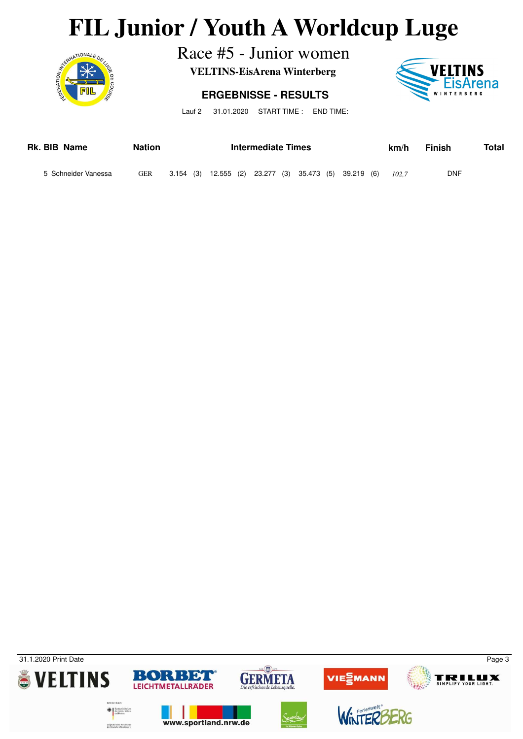# **FIL Junior / Youth A Worldcup Luge**<br>Race #5 - Junior women<br>VELTINS-EisArena Winterberg



Race #5 - Junior women

**VELTINS-EisArena Winterberg**

#### **ERGEBNISSE - RESULTS**



Lauf 2 31.01.2020 START TIME : END TIME:

| Rk. BIB Name        | <b>Nation</b> | Intermediate Times |  |  |  |  |                                                       |  | km/h | Finish | Total |            |  |
|---------------------|---------------|--------------------|--|--|--|--|-------------------------------------------------------|--|------|--------|-------|------------|--|
| 5 Schneider Vanessa | <b>GER</b>    |                    |  |  |  |  | 3.154 (3) 12.555 (2) 23.277 (3) 35.473 (5) 39.219 (6) |  |      |        | 102.7 | <b>DNF</b> |  |

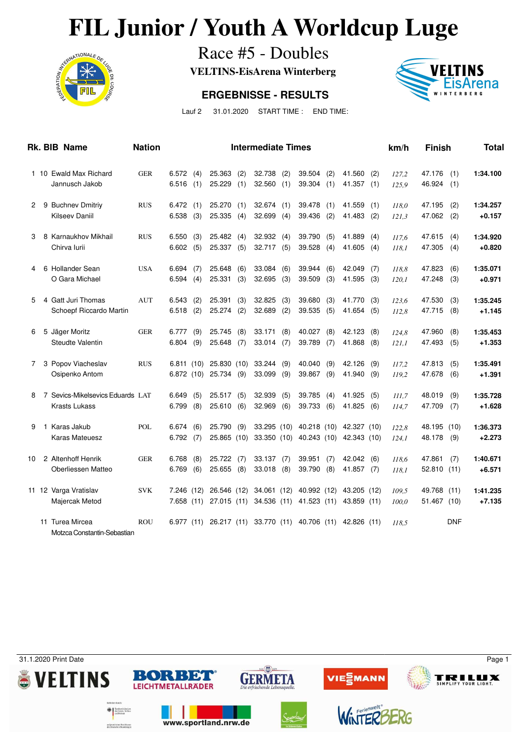# **FIL Junior / Youth A Worldcup Luge**<br>Race #5 - Doubles<br>VELTINS-EisArena Winterberg



Race #5 - Doubles

**VELTINS-EisArena Winterberg**

#### **ERGEBNISSE - RESULTS**



Lauf 2 31.01.2020 START TIME : END TIME:

|    |    | Rk. BIB Name                                   | <b>Nation</b> |                         |            |                           |             | <b>Intermediate Times</b>  |            |                            |            |                                                    |            | km/h           | <b>Finish</b>         |            | Total                |
|----|----|------------------------------------------------|---------------|-------------------------|------------|---------------------------|-------------|----------------------------|------------|----------------------------|------------|----------------------------------------------------|------------|----------------|-----------------------|------------|----------------------|
|    |    | 1 10 Ewald Max Richard<br>Jannusch Jakob       | <b>GER</b>    | 6.572(4)<br>6.516       | (1)        | 25.363<br>25.229          | (2)<br>(1)  | 32.738<br>32.560           | (2)<br>(1) | 39.504<br>39.304           | (2)<br>(1) | 41.560<br>41.357(1)                                | (2)        | 127.2<br>125.9 | 47.176<br>46.924      | (1)<br>(1) | 1:34.100             |
| 2  |    | 9 Buchnev Dmitriy<br>Kilseev Daniil            | <b>RUS</b>    | 6.472(1)<br>6.538       | (3)        | 25.270<br>25.335          | (1)<br>(4)  | 32.674(1)<br>32.699        | (4)        | 39.478<br>39.436           | (1)<br>(2) | 41.559<br>41.483                                   | (1)<br>(2) | 118,0          | 47.195<br>47.062      | (2)<br>(2) | 1:34.257<br>$+0.157$ |
|    |    |                                                |               |                         |            |                           |             |                            |            |                            |            |                                                    |            | 121,3          |                       |            |                      |
| 3  |    | 8 Karnaukhov Mikhail<br>Chirva Iurii           | <b>RUS</b>    | 6.550<br>6.602          | (3)<br>(5) | 25.482<br>25.337          | (4)<br>(5)  | 32.932(4)<br>32.717 (5)    |            | 39.790<br>39.528           | (5)<br>(4) | 41.889<br>41.605                                   | (4)<br>(4) | 117,6<br>118.1 | 47.615<br>47.305      | (4)<br>(4) | 1:34.920<br>$+0.820$ |
| 4  |    | 6 Hollander Sean                               | <b>USA</b>    | 6.694                   | (7)        | 25.648                    | (6)         | 33.084                     | (6)        | 39.944                     | (6)        | 42.049                                             | (7)        | 118,8          | 47.823                | (6)        | 1:35.071             |
|    |    | O Gara Michael                                 |               | 6.594                   | (4)        | 25.331                    | (3)         | 32.695                     | (3)        | 39.509                     | (3)        | 41.595                                             | (3)        | 120,1          | 47.248                | (3)        | $+0.971$             |
| 5  |    | 4 Gatt Juri Thomas<br>Schoepf Riccardo Martin  | <b>AUT</b>    | 6.543<br>6.518          | (2)<br>(2) | 25.391<br>25.274          | (3)<br>(2)  | 32.825<br>32.689           | (3)<br>(2) | 39.680<br>39.535           | (3)<br>(5) | 41.770<br>41.654                                   | (3)<br>(5) | 123.6<br>112,8 | 47.530<br>47.715      | (3)<br>(8) | 1:35.245<br>$+1.145$ |
| 6  |    | 5 Jäger Moritz                                 | <b>GER</b>    | 6.777                   | (9)        | 25.745                    | (8)         | 33.171                     | (8)        | 40.027                     | (8)        | 42.123                                             | (8)        | 124.8          | 47.960                | (8)        | 1:35.453             |
|    |    | Steudte Valentin                               |               | 6.804                   | (9)        | 25.648                    | (7)         | 33.014                     | (7)        | 39.789                     | (7)        | 41.868                                             | (8)        | 121,1          | 47.493                | (5)        | $+1.353$             |
| 7  |    | 3 Popov Viacheslav<br>Osipenko Antom           | <b>RUS</b>    | 6.811(10)<br>6.872(10)  |            | 25.830<br>25.734          | (10)<br>(9) | 33.244<br>33.099           | (9)<br>(9) | 40.040<br>39.867           | (9)<br>(9) | 42.126<br>41.940                                   | (9)<br>(9) | 117,2<br>119,2 | 47.813<br>47.678      | (5)<br>(6) | 1:35.491<br>$+1.391$ |
| 8  |    | 7 Sevics-Mikelsevics Eduards LAT               |               | 6.649                   | (5)        | 25.517                    | (5)         | 32.939                     | (5)        | 39.785                     | (4)        | 41.925                                             | (5)        | III.7          | 48.019                | (9)        | 1:35.728             |
|    |    | <b>Krasts Lukass</b>                           |               | 6.799                   | (8)        | 25.610                    | (6)         | 32.969                     | (6)        | 39.733                     | (6)        | 41.825                                             | (6)        | 114,7          | 47.709                | (7)        | $+1.628$             |
| 9  | -1 | Karas Jakub<br><b>Karas Mateuesz</b>           | POL           | 6.674<br>6.792          | (6)<br>(7) | 25.790<br>25.865 (10)     | (9)         | 33.295 (10)<br>33.350 (10) |            |                            |            | 40.218 (10) 42.327 (10)<br>40.243 (10) 42.343 (10) |            | 122,8<br>124,1 | 48.195 (10)<br>48.178 | (9)        | 1:36.373<br>$+2.273$ |
| 10 |    | 2 Altenhoff Henrik                             | <b>GER</b>    | 6.768                   | (8)        | 25.722                    | (7)         | 33.137                     | (7)        | 39.951                     | (7)        | 42.042                                             | (6)        | 118,6          | 47.861                | (7)        | 1:40.671             |
|    |    | Oberliessen Matteo                             |               | 6.769                   | (6)        | 25.655                    | (8)         | 33.018 (8)                 |            | 39.790                     | (8)        | 41.857 (7)                                         |            | 118,1          | 52.810 (11)           |            | $+6.571$             |
|    |    | 11 12 Varga Vratislav<br>Majercak Metod        | <b>SVK</b>    | 7.246 (12)<br>7.658(11) |            | 26.546 (12)<br>27.015(11) |             | 34.061 (12)<br>34.536 (11) |            | 40.992 (12)<br>41.523 (11) |            | 43.205 (12)<br>43.859 (11)                         |            | 109,5<br>100,0 | 49.768<br>51.467 (10) | (11)       | 1:41.235<br>$+7.135$ |
|    |    | 11 Turea Mircea<br>Motzca Constantin-Sebastian | <b>ROU</b>    | 6.977                   | (11)       | 26.217 (11)               |             | 33.770 (11)                |            | 40.706                     | (11)       | 42.826 (11)                                        |            | 118.5          |                       | <b>DNF</b> |                      |

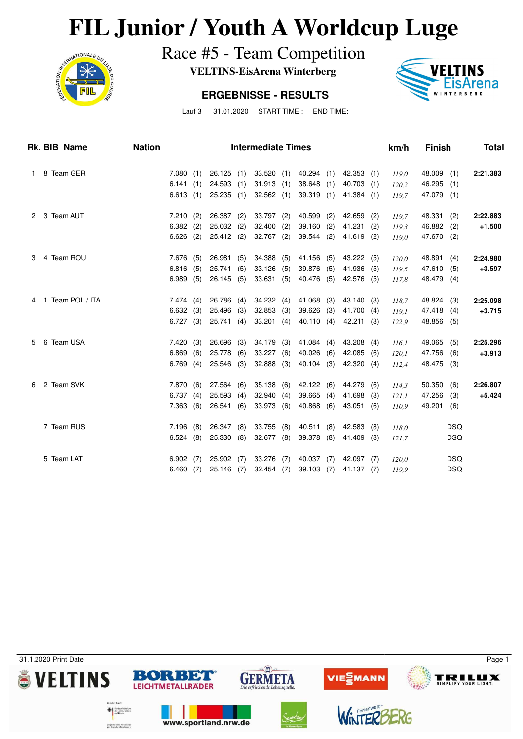# **FIL Junior / Youth A Worldcup Luge**<br>Race #5 - Team Competition<br>VELTINS-EisArena Winterberg



Race #5 - Team Competition

**VELTINS-EisArena Winterberg**

#### **ERGEBNISSE - RESULTS**



Lauf 3 31.01.2020 START TIME : END TIME:

| <b>Rk. BIB Name</b> |  | <b>Nation</b>      | <b>Intermediate Times</b> |             |     |           |     |              |     |            |     |            |     | <b>Finish</b> |            | Total      |          |
|---------------------|--|--------------------|---------------------------|-------------|-----|-----------|-----|--------------|-----|------------|-----|------------|-----|---------------|------------|------------|----------|
| $\mathbf{1}$        |  | 8 Team GER         |                           | 7.080       | (1) | 26.125    | (1) | 33.520(1)    |     | 40.294     | (1) | 42.353     | (1) | 119.0         | 48.009     | (1)        | 2:21.383 |
|                     |  |                    |                           | 6.141       | (1) | 24.593    | (1) | 31.913       | (1) | 38.648     | (1) | 40.703     | (1) | 120,2         | 46.295     | (1)        |          |
|                     |  |                    |                           | 6.613(1)    |     | 25.235    | (1) | 32.562(1)    |     | 39.319     | (1) | 41.384(1)  |     | 119,7         | 47.079 (1) |            |          |
| 2                   |  | 3 Team AUT         |                           | 7.210       | (2) | 26.387    | (2) | 33.797 (2)   |     | 40.599     | (2) | 42.659     | (2) | 119,7         | 48.331     | (2)        | 2:22.883 |
|                     |  |                    |                           | 6.382       | (2) | 25.032    | (2) | 32.400       | (2) | 39.160     | (2) | 41.231     | (2) | 119.3         | 46.882     | (2)        | $+1.500$ |
|                     |  |                    |                           | 6.626       | (2) | 25.412(2) |     | $32.767$ (2) |     | 39.544     | (2) | 41.619     | (2) | 119,0         | 47.670     | (2)        |          |
| 3                   |  | 4 Team ROU         |                           | 7.676       | (5) | 26.981    | (5) | 34.388 (5)   |     | 41.156     | (5) | 43.222     | (5) | 120,0         | 48.891     | (4)        | 2:24.980 |
|                     |  |                    |                           | 6.816       | (5) | 25.741    | (5) | 33.126       | (5) | 39.876     | (5) | 41.936     | (5) | 119,5         | 47.610     | (5)        | $+3.597$ |
|                     |  |                    |                           | 6.989       | (5) | 26.145    | (5) | 33.631(5)    |     | 40.476     | (5) | 42.576     | (5) | 117,8         | 48.479     | (4)        |          |
|                     |  | 4 1 Team POL / ITA |                           | 7.474(4)    |     | 26.786    | (4) | 34.232 (4)   |     | 41.068     | (3) | 43.140     | (3) | 118,7         | 48.824     | (3)        | 2:25.098 |
|                     |  |                    |                           | 6.632(3)    |     | 25.496    | (3) | 32.853       | (3) | 39.626     | (3) | 41.700     | (4) | 119.1         | 47.418     | (4)        | $+3.715$ |
|                     |  |                    |                           | $6.727$ (3) |     | 25.741(4) |     | $33.201$ (4) |     | 40.110 (4) |     | 42.211 (3) |     | 122,9         | 48.856 (5) |            |          |
| 5                   |  | 6 Team USA         |                           | 7.420       | (3) | 26.696    | (3) | $34.179$ (3) |     | 41.084     | (4) | 43.208     | (4) | 116.1         | 49.065     | (5)        | 2:25.296 |
|                     |  |                    |                           | 6.869       | (6) | 25.778    | (6) | 33.227       | (6) | 40.026     | (6) | 42.085     | (6) | 120,1         | 47.756     | (6)        | $+3.913$ |
|                     |  |                    |                           | 6.769       | (4) | 25.546    | (3) | $32.888$ (3) |     | 40.104     | (3) | 42.320     | (4) | 112,4         | 48.475 (3) |            |          |
| 6.                  |  | 2 Team SVK         |                           | 7.870       | (6) | 27.564    | (6) | 35.138(6)    |     | 42.122     | (6) | 44.279     | (6) | 114,3         | 50.350     | (6)        | 2:26.807 |
|                     |  |                    |                           | 6.737       | (4) | 25.593    | (4) | 32.940       | (4) | 39.665     | (4) | 41.698     | (3) | 121,1         | 47.256     | (3)        | $+5.424$ |
|                     |  |                    |                           | 7.363       | (6) | 26.541    | (6) | 33.973 (6)   |     | 40.868     | (6) | 43.051     | (6) | 110,9         | 49.201     | (6)        |          |
|                     |  | 7 Team RUS         |                           | 7.196       | (8) | 26.347    | (8) | $33.755$ (8) |     | 40.511     | (8) | 42.583     | (8) | 118.0         |            | <b>DSQ</b> |          |
|                     |  |                    |                           | 6.524(8)    |     | 25.330    | (8) | 32.677(8)    |     | 39.378     | (8) | 41.409     | (8) | 121,7         |            | <b>DSQ</b> |          |
|                     |  | 5 Team LAT         |                           | $6.902$ (7) |     | 25.902    | (7) | 33.276 (7)   |     | 40.037 (7) |     | 42.097 (7) |     | 120,0         |            | <b>DSQ</b> |          |
|                     |  |                    |                           | 6.460       | (7) | 25.146    | (7) | $32.454$ (7) |     | 39.103     | (7) | 41.137 (7) |     | 119,9         |            | <b>DSQ</b> |          |